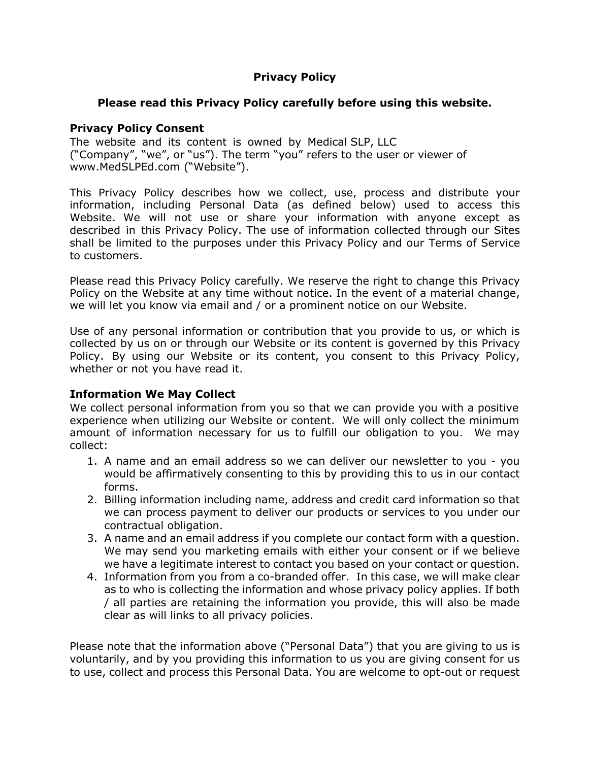# **Privacy Policy**

# **Please read this Privacy Policy carefully before using this website.**

#### **Privacy Policy Consent**

The website and its content is owned by Medical SLP, LLC ("Company", "we", or "us"). The term "you" refers to the user or viewer of www.MedSLPEd.com ("Website").

This Privacy Policy describes how we collect, use, process and distribute your information, including Personal Data (as defined below) used to access this Website. We will not use or share your information with anyone except as described in this Privacy Policy. The use of information collected through our Sites shall be limited to the purposes under this Privacy Policy and our Terms of Service to customers.

Please read this Privacy Policy carefully. We reserve the right to change this Privacy Policy on the Website at any time without notice. In the event of a material change, we will let you know via email and / or a prominent notice on our Website.

Use of any personal information or contribution that you provide to us, or which is collected by us on or through our Website or its content is governed by this Privacy Policy. By using our Website or its content, you consent to this Privacy Policy, whether or not you have read it.

# **Information We May Collect**

We collect personal information from you so that we can provide you with a positive experience when utilizing our Website or content. We will only collect the minimum amount of information necessary for us to fulfill our obligation to you. We may collect:

- 1. A name and an email address so we can deliver our newsletter to you you would be affirmatively consenting to this by providing this to us in our contact forms.
- 2. Billing information including name, address and credit card information so that we can process payment to deliver our products or services to you under our contractual obligation.
- 3. A name and an email address if you complete our contact form with a question. We may send you marketing emails with either your consent or if we believe we have a legitimate interest to contact you based on your contact or question.
- 4. Information from you from a co-branded offer. In this case, we will make clear as to who is collecting the information and whose privacy policy applies. If both / all parties are retaining the information you provide, this will also be made clear as will links to all privacy policies.

Please note that the information above ("Personal Data") that you are giving to us is voluntarily, and by you providing this information to us you are giving consent for us to use, collect and process this Personal Data. You are welcome to opt-out or request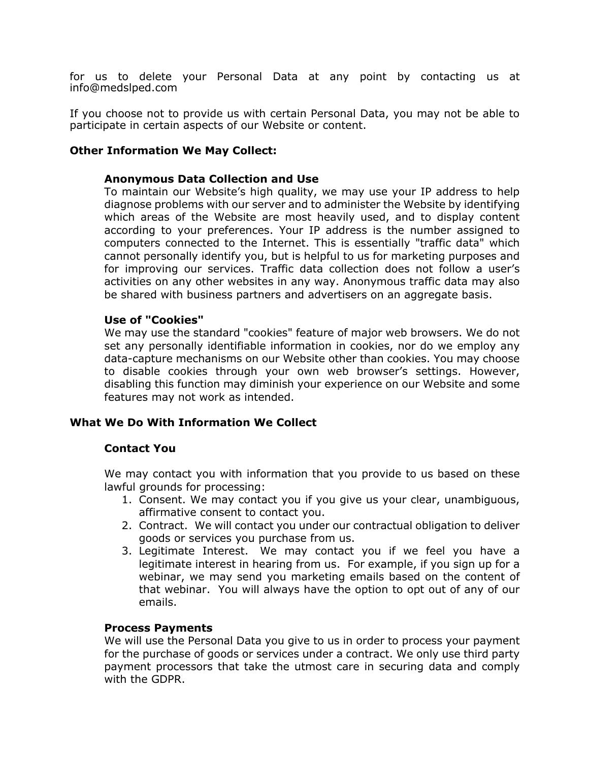for us to delete your Personal Data at any point by contacting us at info@medslped.com

If you choose not to provide us with certain Personal Data, you may not be able to participate in certain aspects of our Website or content.

#### **Other Information We May Collect:**

#### **Anonymous Data Collection and Use**

To maintain our Website's high quality, we may use your IP address to help diagnose problems with our server and to administer the Website by identifying which areas of the Website are most heavily used, and to display content according to your preferences. Your IP address is the number assigned to computers connected to the Internet. This is essentially "traffic data" which cannot personally identify you, but is helpful to us for marketing purposes and for improving our services. Traffic data collection does not follow a user's activities on any other websites in any way. Anonymous traffic data may also be shared with business partners and advertisers on an aggregate basis.

#### **Use of "Cookies"**

We may use the standard "cookies" feature of major web browsers. We do not set any personally identifiable information in cookies, nor do we employ any data-capture mechanisms on our Website other than cookies. You may choose to disable cookies through your own web browser's settings. However, disabling this function may diminish your experience on our Website and some features may not work as intended.

### **What We Do With Information We Collect**

#### **Contact You**

We may contact you with information that you provide to us based on these lawful grounds for processing:

- 1. Consent. We may contact you if you give us your clear, unambiguous, affirmative consent to contact you.
- 2. Contract. We will contact you under our contractual obligation to deliver goods or services you purchase from us.
- 3. Legitimate Interest. We may contact you if we feel you have a legitimate interest in hearing from us. For example, if you sign up for a webinar, we may send you marketing emails based on the content of that webinar. You will always have the option to opt out of any of our emails.

#### **Process Payments**

We will use the Personal Data you give to us in order to process your payment for the purchase of goods or services under a contract. We only use third party payment processors that take the utmost care in securing data and comply with the GDPR.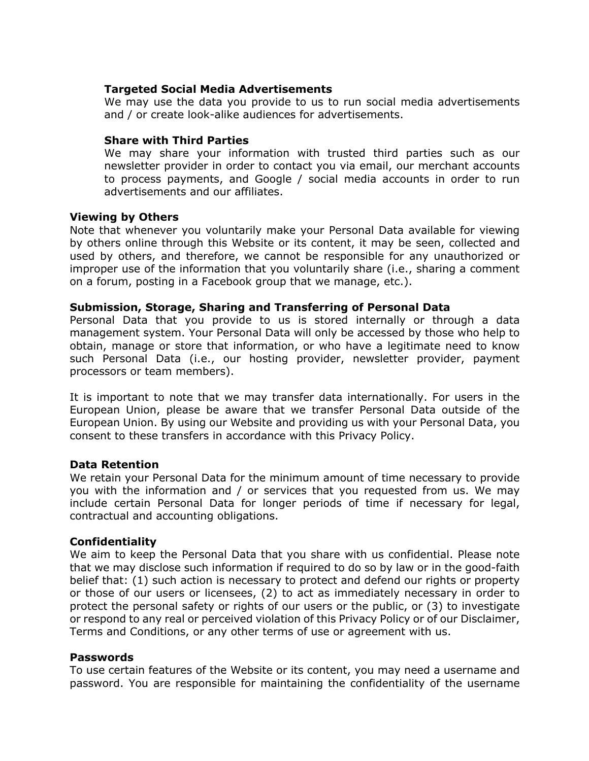## **Targeted Social Media Advertisements**

We may use the data you provide to us to run social media advertisements and / or create look-alike audiences for advertisements.

## **Share with Third Parties**

We may share your information with trusted third parties such as our newsletter provider in order to contact you via email, our merchant accounts to process payments, and Google / social media accounts in order to run advertisements and our affiliates.

### **Viewing by Others**

Note that whenever you voluntarily make your Personal Data available for viewing by others online through this Website or its content, it may be seen, collected and used by others, and therefore, we cannot be responsible for any unauthorized or improper use of the information that you voluntarily share (i.e., sharing a comment on a forum, posting in a Facebook group that we manage, etc.).

### **Submission, Storage, Sharing and Transferring of Personal Data**

Personal Data that you provide to us is stored internally or through a data management system. Your Personal Data will only be accessed by those who help to obtain, manage or store that information, or who have a legitimate need to know such Personal Data (i.e., our hosting provider, newsletter provider, payment processors or team members).

It is important to note that we may transfer data internationally. For users in the European Union, please be aware that we transfer Personal Data outside of the European Union. By using our Website and providing us with your Personal Data, you consent to these transfers in accordance with this Privacy Policy.

### **Data Retention**

We retain your Personal Data for the minimum amount of time necessary to provide you with the information and / or services that you requested from us. We may include certain Personal Data for longer periods of time if necessary for legal, contractual and accounting obligations.

### **Confidentiality**

We aim to keep the Personal Data that you share with us confidential. Please note that we may disclose such information if required to do so by law or in the good-faith belief that: (1) such action is necessary to protect and defend our rights or property or those of our users or licensees, (2) to act as immediately necessary in order to protect the personal safety or rights of our users or the public, or (3) to investigate or respond to any real or perceived violation of this Privacy Policy or of our Disclaimer, Terms and Conditions, or any other terms of use or agreement with us.

#### **Passwords**

To use certain features of the Website or its content, you may need a username and password. You are responsible for maintaining the confidentiality of the username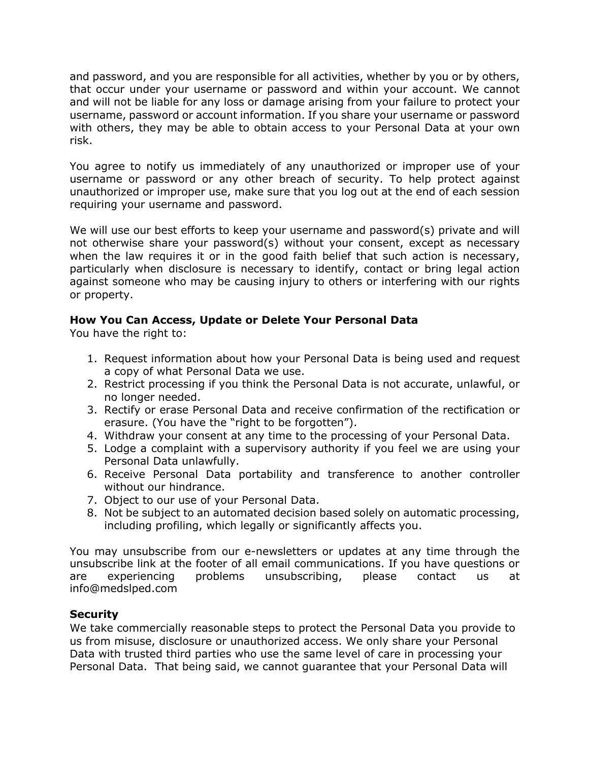and password, and you are responsible for all activities, whether by you or by others, that occur under your username or password and within your account. We cannot and will not be liable for any loss or damage arising from your failure to protect your username, password or account information. If you share your username or password with others, they may be able to obtain access to your Personal Data at your own risk.

You agree to notify us immediately of any unauthorized or improper use of your username or password or any other breach of security. To help protect against unauthorized or improper use, make sure that you log out at the end of each session requiring your username and password.

We will use our best efforts to keep your username and password(s) private and will not otherwise share your password(s) without your consent, except as necessary when the law requires it or in the good faith belief that such action is necessary, particularly when disclosure is necessary to identify, contact or bring legal action against someone who may be causing injury to others or interfering with our rights or property.

# **How You Can Access, Update or Delete Your Personal Data**

You have the right to:

- 1. Request information about how your Personal Data is being used and request a copy of what Personal Data we use.
- 2. Restrict processing if you think the Personal Data is not accurate, unlawful, or no longer needed.
- 3. Rectify or erase Personal Data and receive confirmation of the rectification or erasure. (You have the "right to be forgotten").
- 4. Withdraw your consent at any time to the processing of your Personal Data.
- 5. Lodge a complaint with a supervisory authority if you feel we are using your Personal Data unlawfully.
- 6. Receive Personal Data portability and transference to another controller without our hindrance.
- 7. Object to our use of your Personal Data.
- 8. Not be subject to an automated decision based solely on automatic processing, including profiling, which legally or significantly affects you.

You may unsubscribe from our e-newsletters or updates at any time through the unsubscribe link at the footer of all email communications. If you have questions or are experiencing problems unsubscribing, please contact us at info@medslped.com

# **Security**

We take commercially reasonable steps to protect the Personal Data you provide to us from misuse, disclosure or unauthorized access. We only share your Personal Data with trusted third parties who use the same level of care in processing your Personal Data. That being said, we cannot guarantee that your Personal Data will